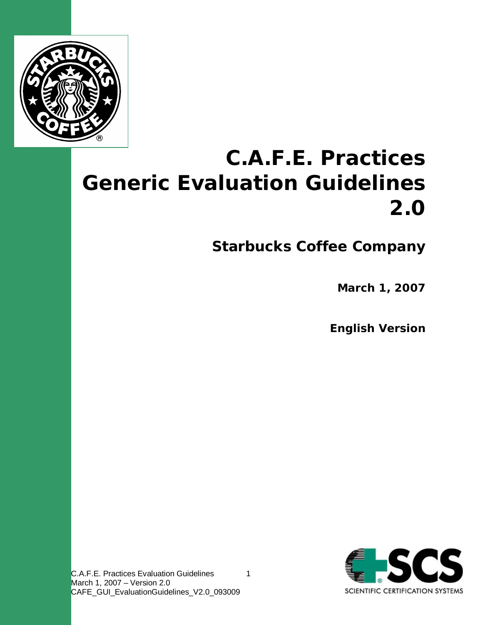

# **C.A.F.E. Practices Generic Evaluation Guidelines 2.0**

1

**Starbucks Coffee Company**

**March 1, 2007**

**English Version**



C.A.F.E. Practices Evaluation Guidelines March 1, 2007 – Version 2.0 CAFE\_GUI\_EvaluationGuidelines\_V2.0\_093009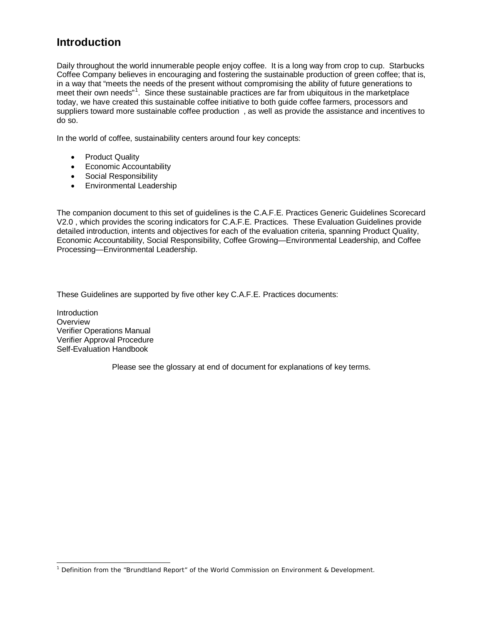# **Introduction**

Daily throughout the world innumerable people enjoy coffee. It is a long way from crop to cup. Starbucks Coffee Company believes in encouraging and fostering the sustainable production of green coffee; that is, in a way that "meets the needs of the present without compromising the ability of future generations to meet their own needs"<sup>[1](#page-1-0)</sup>. Since these sustainable practices are far from ubiquitous in the marketplace today, we have created this sustainable coffee initiative to both guide coffee farmers, processors and suppliers toward more sustainable coffee production , as well as provide the assistance and incentives to do so.

In the world of coffee, sustainability centers around four key concepts:

- Product Quality
- Economic Accountability
- Social Responsibility
- Environmental Leadership

The companion document to this set of guidelines is the C.A.F.E. Practices Generic Guidelines Scorecard V2.0 , which provides the scoring indicators for C.A.F.E. Practices. These Evaluation Guidelines provide detailed introduction, intents and objectives for each of the evaluation criteria, spanning Product Quality, Economic Accountability, Social Responsibility, Coffee Growing—Environmental Leadership, and Coffee Processing—Environmental Leadership.

These Guidelines are supported by five other key C.A.F.E. Practices documents:

**Introduction Overview** Verifier Operations Manual Verifier Approval Procedure Self-Evaluation Handbook

Please see the glossary at end of document for explanations of key terms.

<span id="page-1-0"></span><sup>-</sup><sup>1</sup> Definition from the "Brundtland Report" of the World Commission on Environment & Development.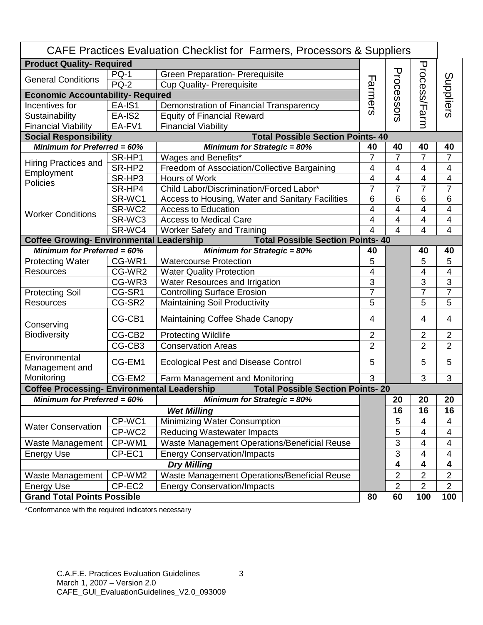| CAFE Practices Evaluation Checklist for Farmers, Processors & Suppliers                       |             |                                                  |                |                         |                         |                          |
|-----------------------------------------------------------------------------------------------|-------------|--------------------------------------------------|----------------|-------------------------|-------------------------|--------------------------|
| <b>Product Quality- Required</b>                                                              |             |                                                  |                |                         |                         |                          |
|                                                                                               | <b>PQ-1</b> | <b>Green Preparation- Prerequisite</b>           | ᆩ              | Processors              | Process/Farm            |                          |
| <b>General Conditions</b>                                                                     | <b>PQ-2</b> | <b>Cup Quality- Prerequisite</b>                 |                |                         |                         |                          |
| <b>Economic Accountability- Required</b>                                                      |             |                                                  |                |                         |                         | Suppliers                |
| Incentives for                                                                                | EA-IS1      | Demonstration of Financial Transparency          | armers         |                         |                         |                          |
| Sustainability                                                                                | EA-IS2      | <b>Equity of Financial Reward</b>                |                |                         |                         |                          |
| <b>Financial Viability</b>                                                                    | EA-FV1      | <b>Financial Viability</b>                       |                |                         |                         |                          |
| <b>Social Responsibility</b>                                                                  |             | <b>Total Possible Section Points-40</b>          |                |                         |                         |                          |
| Minimum for Preferred = $60\%$                                                                |             | <b>Minimum for Strategic = 80%</b>               | 40             | 40                      | 40                      | 40                       |
| <b>Hiring Practices and</b><br>Employment<br>Policies                                         | SR-HP1      | Wages and Benefits*                              | 7              | 7                       | $\overline{7}$          | 7                        |
|                                                                                               | SR-HP2      | Freedom of Association/Collective Bargaining     | $\overline{4}$ | $\overline{4}$          | 4                       | 4                        |
|                                                                                               | SR-HP3      | Hours of Work                                    | 4              | 4                       | 4                       | $\overline{\mathcal{A}}$ |
|                                                                                               | SR-HP4      | Child Labor/Discrimination/Forced Labor*         | $\overline{7}$ | $\overline{7}$          | $\overline{7}$          | $\overline{7}$           |
| <b>Worker Conditions</b>                                                                      | SR-WC1      | Access to Housing, Water and Sanitary Facilities | 6              | 6                       | $6\phantom{1}6$         | 6                        |
|                                                                                               | SR-WC2      | <b>Access to Education</b>                       | $\overline{4}$ | 4                       | 4                       | 4                        |
|                                                                                               | SR-WC3      | <b>Access to Medical Care</b>                    | 4              | 4                       | 4                       | 4                        |
|                                                                                               | SR-WC4      | <b>Worker Safety and Training</b>                | 4              | 4                       | 4                       | $\overline{4}$           |
| <b>Coffee Growing- Environmental Leadership</b><br><b>Total Possible Section Points-40</b>    |             |                                                  |                |                         |                         |                          |
| Minimum for Preferred = $60\%$                                                                |             | <b>Minimum for Strategic = 80%</b>               | 40             |                         | 40                      | 40                       |
| <b>Protecting Water</b>                                                                       | CG-WR1      | <b>Watercourse Protection</b>                    | 5              |                         | 5                       | 5                        |
| <b>Resources</b>                                                                              | CG-WR2      | <b>Water Quality Protection</b>                  | $\overline{4}$ |                         | $\overline{4}$          | $\overline{\mathcal{A}}$ |
|                                                                                               | CG-WR3      | Water Resources and Irrigation                   | 3              |                         | 3                       | $\overline{3}$           |
| <b>Protecting Soil</b>                                                                        | CG-SR1      | <b>Controlling Surface Erosion</b>               | $\overline{7}$ |                         | $\overline{7}$          | $\overline{7}$           |
| Resources                                                                                     | CG-SR2      | Maintaining Soil Productivity                    | 5              |                         | 5                       | 5                        |
| Conserving<br><b>Biodiversity</b>                                                             | CG-CB1      | Maintaining Coffee Shade Canopy                  | 4              |                         | 4                       | 4                        |
|                                                                                               | CG-CB2      | <b>Protecting Wildlife</b>                       | $\overline{2}$ |                         | $\overline{2}$          | $\overline{2}$           |
|                                                                                               | CG-CB3      | <b>Conservation Areas</b>                        | $\overline{2}$ |                         | $\overline{2}$          | $\overline{2}$           |
| Environmental<br>Management and                                                               | CG-EM1      | <b>Ecological Pest and Disease Control</b>       | 5              |                         | 5                       | 5                        |
| Monitoring                                                                                    | CG-EM2      | Farm Management and Monitoring                   | 3              |                         | 3                       | 3                        |
| <b>Total Possible Section Points-20</b><br><b>Coffee Processing- Environmental Leadership</b> |             |                                                  |                |                         |                         |                          |
| <b>Minimum for Preferred = 60%</b>                                                            |             | Minimum for Strategic = $80\%$                   |                | 20                      | 20                      | 20                       |
| <b>Wet Milling</b>                                                                            |             |                                                  |                | 16                      | 16                      | 16                       |
| <b>Water Conservation</b>                                                                     | CP-WC1      | Minimizing Water Consumption                     |                | 5                       | 4                       | 4                        |
|                                                                                               | CP-WC2      | <b>Reducing Wastewater Impacts</b>               |                | 5                       | 4                       | 4                        |
| Waste Management                                                                              | CP-WM1      | Waste Management Operations/Beneficial Reuse     |                | 3                       | 4                       | 4                        |
| Energy Use                                                                                    | CP-EC1      | <b>Energy Conservation/Impacts</b>               |                | 3                       | $\overline{4}$          | 4                        |
| <b>Dry Milling</b>                                                                            |             |                                                  |                | 4                       | $\overline{\mathbf{4}}$ | $\overline{\mathbf{4}}$  |
| Waste Management                                                                              | CP-WM2      | Waste Management Operations/Beneficial Reuse     |                | $\overline{\mathbf{c}}$ | $\overline{2}$          | $\boldsymbol{2}$         |
| <b>Energy Use</b>                                                                             | CP-EC2      | <b>Energy Conservation/Impacts</b>               |                | $\overline{2}$          | $\overline{2}$          | $\overline{2}$           |
| <b>Grand Total Points Possible</b>                                                            |             |                                                  | 80             | 60                      | 100                     | 100                      |

\*Conformance with the required indicators necessary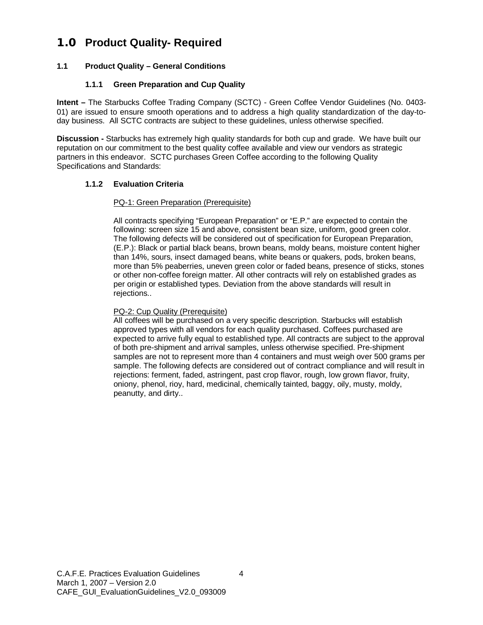# **1.0 Product Quality- Required**

# **1.1 Product Quality – General Conditions**

# **1.1.1 Green Preparation and Cup Quality**

**Intent –** The Starbucks Coffee Trading Company (SCTC) - Green Coffee Vendor Guidelines (No. 0403- 01) are issued to ensure smooth operations and to address a high quality standardization of the day-today business. All SCTC contracts are subject to these guidelines, unless otherwise specified.

**Discussion -** Starbucks has extremely high quality standards for both cup and grade. We have built our reputation on our commitment to the best quality coffee available and view our vendors as strategic partners in this endeavor. SCTC purchases Green Coffee according to the following Quality Specifications and Standards:

# **1.1.2 Evaluation Criteria**

# PQ-1: Green Preparation (Prerequisite)

All contracts specifying "European Preparation" or "E.P." are expected to contain the following: screen size 15 and above, consistent bean size, uniform, good green color. The following defects will be considered out of specification for European Preparation, (E.P.): Black or partial black beans, brown beans, moldy beans, moisture content higher than 14%, sours, insect damaged beans, white beans or quakers, pods, broken beans, more than 5% peaberries, uneven green color or faded beans, presence of sticks, stones or other non-coffee foreign matter. All other contracts will rely on established grades as per origin or established types. Deviation from the above standards will result in rejections..

#### PQ-2: Cup Quality (Prerequisite)

All coffees will be purchased on a very specific description. Starbucks will establish approved types with all vendors for each quality purchased. Coffees purchased are expected to arrive fully equal to established type. All contracts are subject to the approval of both pre-shipment and arrival samples, unless otherwise specified. Pre-shipment samples are not to represent more than 4 containers and must weigh over 500 grams per sample. The following defects are considered out of contract compliance and will result in rejections: ferment, faded, astringent, past crop flavor, rough, low grown flavor, fruity, oniony, phenol, rioy, hard, medicinal, chemically tainted, baggy, oily, musty, moldy, peanutty, and dirty..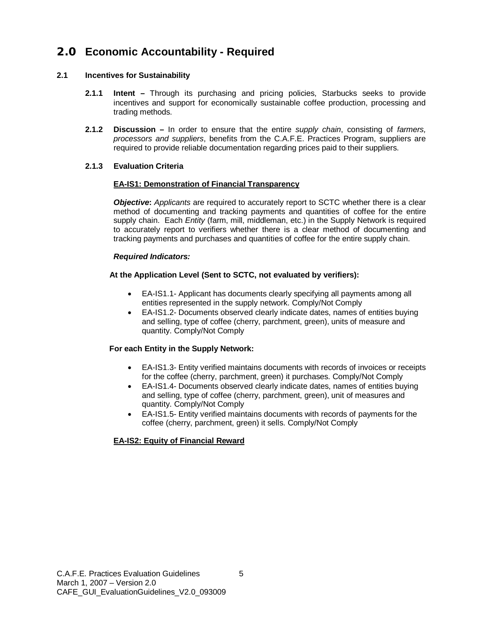# **2.0 Economic Accountability - Required**

# **2.1 Incentives for Sustainability**

- **2.1.1 Intent –** Through its purchasing and pricing policies, Starbucks seeks to provide incentives and support for economically sustainable coffee production, processing and trading methods.
- **2.1.2 Discussion –** In order to ensure that the entire *supply chain*, consisting of *farmers, processors and suppliers*, benefits from the C.A.F.E. Practices Program, suppliers are required to provide reliable documentation regarding prices paid to their suppliers.

# **2.1.3 Evaluation Criteria**

# **EA-IS1: Demonstration of Financial Transparency**

*Objective***:** *Applicants* are required to accurately report to SCTC whether there is a clear method of documenting and tracking payments and quantities of coffee for the entire supply chain. Each *Entity* (farm, mill, middleman, etc.) in the Supply Network is required to accurately report to verifiers whether there is a clear method of documenting and tracking payments and purchases and quantities of coffee for the entire supply chain.

# *Required Indicators:*

# **At the Application Level (Sent to SCTC, not evaluated by verifiers):**

- EA-IS1.1- Applicant has documents clearly specifying all payments among all entities represented in the supply network. Comply/Not Comply
- EA-IS1.2- Documents observed clearly indicate dates, names of entities buying and selling, type of coffee (cherry, parchment, green), units of measure and quantity. Comply/Not Comply

# **For each Entity in the Supply Network:**

- EA-IS1.3- Entity verified maintains documents with records of invoices or receipts for the coffee (cherry, parchment, green) it purchases. Comply/Not Comply
- EA-IS1.4- Documents observed clearly indicate dates, names of entities buying and selling, type of coffee (cherry, parchment, green), unit of measures and quantity. Comply/Not Comply
- EA-IS1.5- Entity verified maintains documents with records of payments for the coffee (cherry, parchment, green) it sells. Comply/Not Comply

# **EA-IS2: Equity of Financial Reward**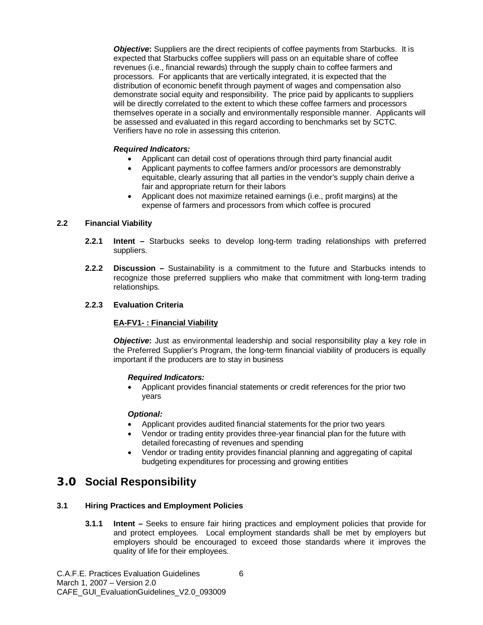*Objective***:** Suppliers are the direct recipients of coffee payments from Starbucks. It is expected that Starbucks coffee suppliers will pass on an equitable share of coffee revenues (i.e., financial rewards) through the supply chain to coffee farmers and processors. For applicants that are vertically integrated, it is expected that the distribution of economic benefit through payment of wages and compensation also demonstrate social equity and responsibility. The price paid by applicants to suppliers will be directly correlated to the extent to which these coffee farmers and processors themselves operate in a socially and environmentally responsible manner. Applicants will be assessed and evaluated in this regard according to benchmarks set by SCTC. Verifiers have no role in assessing this criterion.

#### *Required Indicators:*

- Applicant can detail cost of operations through third party financial audit
- Applicant payments to coffee farmers and/or processors are demonstrably equitable, clearly assuring that all parties in the vendor's supply chain derive a fair and appropriate return for their labors
- Applicant does not maximize retained earnings (i.e., profit margins) at the expense of farmers and processors from which coffee is procured

#### **2.2 Financial Viability**

- **2.2.1 Intent –** Starbucks seeks to develop long-term trading relationships with preferred suppliers.
- **2.2.2 Discussion –** Sustainability is a commitment to the future and Starbucks intends to recognize those preferred suppliers who make that commitment with long-term trading relationships.

#### **2.2.3 Evaluation Criteria**

#### **EA-FV1- : Financial Viability**

**Objective:** Just as environmental leadership and social responsibility play a key role in the Preferred Supplier's Program, the long-term financial viability of producers is equally important if the producers are to stay in business

#### *Required Indicators:*

• Applicant provides financial statements or credit references for the prior two years

#### *Optional:*

- Applicant provides audited financial statements for the prior two years
- Vendor or trading entity provides three-year financial plan for the future with detailed forecasting of revenues and spending
- Vendor or trading entity provides financial planning and aggregating of capital budgeting expenditures for processing and growing entities

# **3.0 Social Responsibility**

# **3.1 Hiring Practices and Employment Policies**

**3.1.1 Intent –** Seeks to ensure fair hiring practices and employment policies that provide for and protect employees. Local employment standards shall be met by employers but employers should be encouraged to exceed those standards where it improves the quality of life for their employees.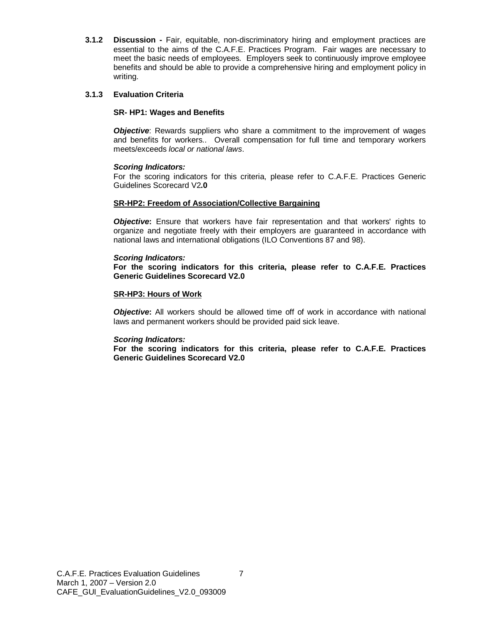**3.1.2 Discussion -** Fair, equitable, non-discriminatory hiring and employment practices are essential to the aims of the C.A.F.E. Practices Program. Fair wages are necessary to meet the basic needs of employees. Employers seek to continuously improve employee benefits and should be able to provide a comprehensive hiring and employment policy in writing.

#### **3.1.3 Evaluation Criteria**

#### **SR- HP1: Wages and Benefits**

**Objective**: Rewards suppliers who share a commitment to the improvement of wages and benefits for workers.. Overall compensation for full time and temporary workers meets/exceeds *local or national laws*.

#### *Scoring Indicators:*

For the scoring indicators for this criteria, please refer to C.A.F.E. Practices Generic Guidelines Scorecard V2**.0**

#### **SR-HP2: Freedom of Association/Collective Bargaining**

**Objective:** Ensure that workers have fair representation and that workers' rights to organize and negotiate freely with their employers are guaranteed in accordance with national laws and international obligations (ILO Conventions 87 and 98).

#### *Scoring Indicators:*

**For the scoring indicators for this criteria, please refer to C.A.F.E. Practices Generic Guidelines Scorecard V2.0**

#### **SR-HP3: Hours of Work**

*Objective***:** All workers should be allowed time off of work in accordance with national laws and permanent workers should be provided paid sick leave.

#### *Scoring Indicators:*

**For the scoring indicators for this criteria, please refer to C.A.F.E. Practices Generic Guidelines Scorecard V2.0**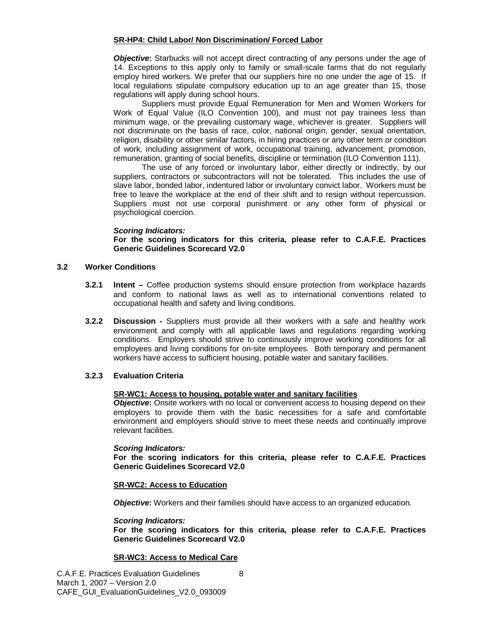#### **SR-HP4: Child Labor/ Non Discrimination/ Forced Labor**

*Objective***:** Starbucks will not accept direct contracting of any persons under the age of 14. Exceptions to this apply only to family or small-scale farms that do not regularly employ hired workers. We prefer that our suppliers hire no one under the age of 15. If local regulations stipulate compulsory education up to an age greater than 15, those regulations will apply during school hours.

Suppliers must provide Equal Remuneration for Men and Women Workers for Work of Equal Value (ILO Convention 100), and must not pay trainees less than minimum wage, or the prevailing customary wage, whichever is greater. Suppliers will not discriminate on the basis of race, color, national origin, gender, sexual orientation, religion, disability or other similar factors, in hiring practices or any other term or condition of work, including assignment of work, occupational training, advancement, promotion, remuneration, granting of social benefits, discipline or termination (ILO Convention 111).

The use of any forced or involuntary labor, either directly or indirectly, by our suppliers, contractors or subcontractors will not be tolerated. This includes the use of slave labor, bonded labor, indentured labor or involuntary convict labor. Workers must be free to leave the workplace at the end of their shift and to resign without repercussion. Suppliers must not use corporal punishment or any other form of physical or psychological coercion.

#### *Scoring Indicators:*

**For the scoring indicators for this criteria, please refer to C.A.F.E. Practices Generic Guidelines Scorecard V2.0**

# **3.2 Worker Conditions**

- **3.2.1 Intent –** Coffee production systems should ensure protection from workplace hazards and conform to national laws as well as to international conventions related to occupational health and safety and living conditions.
- **3.2.2 Discussion -** Suppliers must provide all their workers with a safe and healthy work environment and comply with all applicable laws and regulations regarding working conditions. Employers should strive to continuously improve working conditions for all employees and living conditions for on-site employees. Both temporary and permanent workers have access to sufficient housing, potable water and sanitary facilities.

# **3.2.3 Evaluation Criteria**

# **SR-WC1: Access to housing, potable water and sanitary facilities**

**Objective:** Onsite workers with no local or convenient access to housing depend on their employers to provide them with the basic necessities for a safe and comfortable environment and employers should strive to meet these needs and continually improve relevant facilities.

#### *Scoring Indicators:*

**For the scoring indicators for this criteria, please refer to C.A.F.E. Practices Generic Guidelines Scorecard V2.0**

#### **SR-WC2: Access to Education**

*Objective***:** Workers and their families should have access to an organized education.

#### *Scoring Indicators:*

**For the scoring indicators for this criteria, please refer to C.A.F.E. Practices Generic Guidelines Scorecard V2.0**

#### **SR-WC3: Access to Medical Care**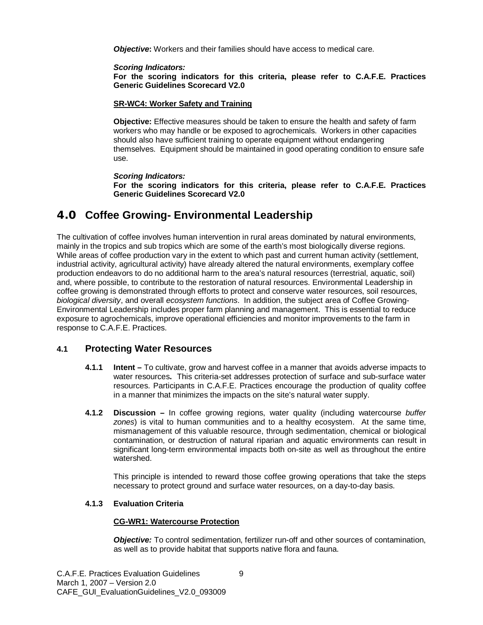**Objective:** Workers and their families should have access to medical care.

*Scoring Indicators:*

**For the scoring indicators for this criteria, please refer to C.A.F.E. Practices Generic Guidelines Scorecard V2.0**

#### **SR-WC4: Worker Safety and Training**

**Objective:** Effective measures should be taken to ensure the health and safety of farm workers who may handle or be exposed to agrochemicals. Workers in other capacities should also have sufficient training to operate equipment without endangering themselves. Equipment should be maintained in good operating condition to ensure safe use.

*Scoring Indicators:*

**For the scoring indicators for this criteria, please refer to C.A.F.E. Practices Generic Guidelines Scorecard V2.0**

# **4.0 Coffee Growing- Environmental Leadership**

The cultivation of coffee involves human intervention in rural areas dominated by natural environments, mainly in the tropics and sub tropics which are some of the earth's most biologically diverse regions. While areas of coffee production vary in the extent to which past and current human activity (settlement, industrial activity, agricultural activity) have already altered the natural environments, exemplary coffee production endeavors to do no additional harm to the area's natural resources (terrestrial, aquatic, soil) and, where possible, to contribute to the restoration of natural resources. Environmental Leadership in coffee growing is demonstrated through efforts to protect and conserve water resources, soil resources, *biological diversity*, and overall *ecosystem functions*. In addition, the subject area of Coffee Growing-Environmental Leadership includes proper farm planning and management. This is essential to reduce exposure to agrochemicals, improve operational efficiencies and monitor improvements to the farm in response to C.A.F.E. Practices.

# **4.1 Protecting Water Resources**

- **4.1.1 Intent –** To cultivate, grow and harvest coffee in a manner that avoids adverse impacts to water resources**.** This criteria-set addresses protection of surface and sub-surface water resources. Participants in C.A.F.E. Practices encourage the production of quality coffee in a manner that minimizes the impacts on the site's natural water supply.
- **4.1.2 Discussion –** In coffee growing regions, water quality (including watercourse *buffer zones*) is vital to human communities and to a healthy ecosystem. At the same time, mismanagement of this valuable resource, through sedimentation, chemical or biological contamination, or destruction of natural riparian and aquatic environments can result in significant long-term environmental impacts both on-site as well as throughout the entire watershed.

This principle is intended to reward those coffee growing operations that take the steps necessary to protect ground and surface water resources, on a day-to-day basis.

# **4.1.3 Evaluation Criteria**

# **CG-WR1: Watercourse Protection**

**Objective:** To control sedimentation, fertilizer run-off and other sources of contamination, as well as to provide habitat that supports native flora and fauna.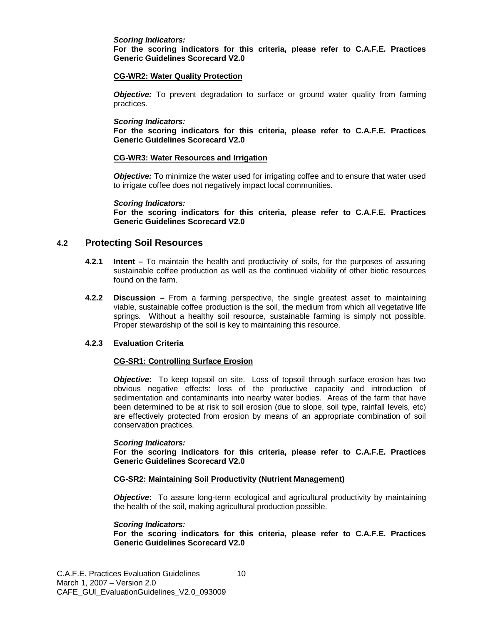#### *Scoring Indicators:*

**For the scoring indicators for this criteria, please refer to C.A.F.E. Practices Generic Guidelines Scorecard V2.0**

#### **CG-WR2: Water Quality Protection**

**Objective:** To prevent degradation to surface or ground water quality from farming practices.

#### *Scoring Indicators:*

**For the scoring indicators for this criteria, please refer to C.A.F.E. Practices Generic Guidelines Scorecard V2.0**

#### **CG-WR3: Water Resources and Irrigation**

**Objective:** To minimize the water used for irrigating coffee and to ensure that water used to irrigate coffee does not negatively impact local communities.

#### *Scoring Indicators:*

**For the scoring indicators for this criteria, please refer to C.A.F.E. Practices Generic Guidelines Scorecard V2.0**

# **4.2 Protecting Soil Resources**

- **4.2.1 Intent –** To maintain the health and productivity of soils, for the purposes of assuring sustainable coffee production as well as the continued viability of other biotic resources found on the farm.
- **4.2.2 Discussion –** From a farming perspective, the single greatest asset to maintaining viable, sustainable coffee production is the soil, the medium from which all vegetative life springs. Without a healthy soil resource, sustainable farming is simply not possible. Proper stewardship of the soil is key to maintaining this resource.

# **4.2.3 Evaluation Criteria**

#### **CG-SR1: Controlling Surface Erosion**

**Objective:** To keep topsoil on site. Loss of topsoil through surface erosion has two obvious negative effects: loss of the productive capacity and introduction of sedimentation and contaminants into nearby water bodies. Areas of the farm that have been determined to be at risk to soil erosion (due to slope, soil type, rainfall levels, etc) are effectively protected from erosion by means of an appropriate combination of soil conservation practices.

#### *Scoring Indicators:*

**For the scoring indicators for this criteria, please refer to C.A.F.E. Practices Generic Guidelines Scorecard V2.0**

#### **CG-SR2: Maintaining Soil Productivity (Nutrient Management)**

*Objective*: To assure long-term ecological and agricultural productivity by maintaining the health of the soil, making agricultural production possible.

#### *Scoring Indicators:*

**For the scoring indicators for this criteria, please refer to C.A.F.E. Practices Generic Guidelines Scorecard V2.0**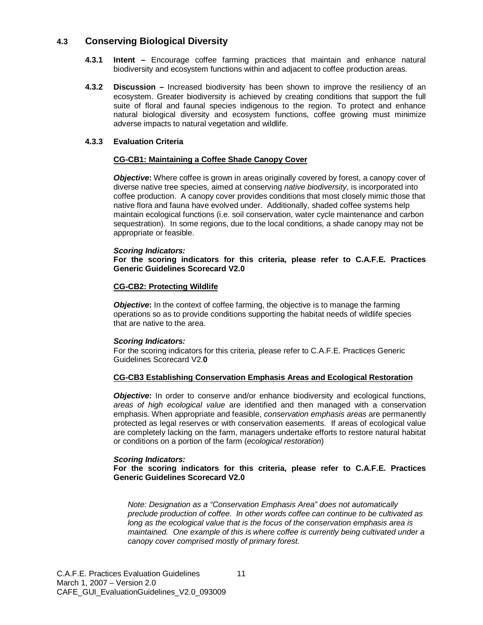# **4.3 Conserving Biological Diversity**

- **4.3.1 Intent –** Encourage coffee farming practices that maintain and enhance natural biodiversity and ecosystem functions within and adjacent to coffee production areas.
- **4.3.2 Discussion –** Increased biodiversity has been shown to improve the resiliency of an ecosystem. Greater biodiversity is achieved by creating conditions that support the full suite of floral and faunal species indigenous to the region. To protect and enhance natural biological diversity and ecosystem functions, coffee growing must minimize adverse impacts to natural vegetation and wildlife.

#### **4.3.3 Evaluation Criteria**

#### **CG-CB1: Maintaining a Coffee Shade Canopy Cover**

*Objective***:** Where coffee is grown in areas originally covered by forest, a canopy cover of diverse native tree species, aimed at conserving *native biodiversity*, is incorporated into coffee production. A canopy cover provides conditions that most closely mimic those that native flora and fauna have evolved under. Additionally, shaded coffee systems help maintain ecological functions (i.e. soil conservation, water cycle maintenance and carbon sequestration). In some regions, due to the local conditions, a shade canopy may not be appropriate or feasible.

#### *Scoring Indicators:*

#### **For the scoring indicators for this criteria, please refer to C.A.F.E. Practices Generic Guidelines Scorecard V2.0**

#### **CG-CB2: Protecting Wildlife**

*Objective*: In the context of coffee farming, the objective is to manage the farming operations so as to provide conditions supporting the habitat needs of wildlife species that are native to the area.

#### *Scoring Indicators:*

For the scoring indicators for this criteria, please refer to C.A.F.E. Practices Generic Guidelines Scorecard V2.**0**

#### **CG-CB3 Establishing Conservation Emphasis Areas and Ecological Restoration**

*Objective*: In order to conserve and/or enhance biodiversity and ecological functions, *areas of high ecological value* are identified and then managed with a conservation emphasis. When appropriate and feasible, *conservation emphasis areas* are permanently protected as legal reserves or with conservation easements. If areas of ecological value are completely lacking on the farm, managers undertake efforts to restore natural habitat or conditions on a portion of the farm (*ecological restoration*)

#### *Scoring Indicators:*

#### **For the scoring indicators for this criteria, please refer to C.A.F.E. Practices Generic Guidelines Scorecard V2.0**

*Note: Designation as a "Conservation Emphasis Area" does not automatically preclude production of coffee. In other words coffee can continue to be cultivated as long as the ecological value that is the focus of the conservation emphasis area is maintained. One example of this is where coffee is currently being cultivated under a canopy cover comprised mostly of primary forest.*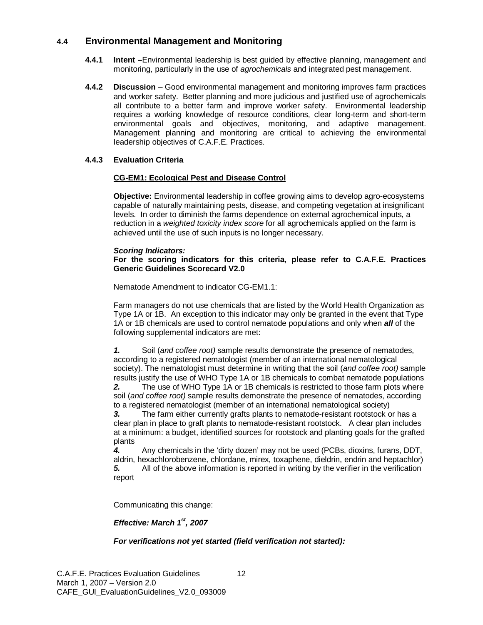# **4.4 Environmental Management and Monitoring**

- **4.4.1 Intent –**Environmental leadership is best guided by effective planning, management and monitoring, particularly in the use of *agrochemicals* and integrated pest management.
- **4.4.2 Discussion** Good environmental management and monitoring improves farm practices and worker safety. Better planning and more judicious and justified use of agrochemicals all contribute to a better farm and improve worker safety. Environmental leadership requires a working knowledge of resource conditions, clear long-term and short-term environmental goals and objectives, monitoring, and adaptive management. Management planning and monitoring are critical to achieving the environmental leadership objectives of C.A.F.E. Practices.

# **4.4.3 Evaluation Criteria**

# **CG-EM1: Ecological Pest and Disease Control**

**Objective:** Environmental leadership in coffee growing aims to develop agro-ecosystems capable of naturally maintaining pests, disease, and competing vegetation at insignificant levels. In order to diminish the farms dependence on external agrochemical inputs, a reduction in a *weighted toxicity index score* for all agrochemicals applied on the farm is achieved until the use of such inputs is no longer necessary.

#### *Scoring Indicators:*

#### **For the scoring indicators for this criteria, please refer to C.A.F.E. Practices Generic Guidelines Scorecard V2.0**

Nematode Amendment to indicator CG-EM1.1:

Farm managers do not use chemicals that are listed by the World Health Organization as Type 1A or 1B. An exception to this indicator may only be granted in the event that Type 1A or 1B chemicals are used to control nematode populations and only when *all* of the following supplemental indicators are met:

*1.* Soil (*and coffee root)* sample results demonstrate the presence of nematodes, according to a registered nematologist (member of an international nematological society). The nematologist must determine in writing that the soil (*and coffee root)* sample results justify the use of WHO Type 1A or 1B chemicals to combat nematode populations *2.* The use of WHO Type 1A or 1B chemicals is restricted to those farm plots where soil (*and coffee root)* sample results demonstrate the presence of nematodes, according to a registered nematologist (member of an international nematological society)

*3.* The farm either currently grafts plants to nematode-resistant rootstock or has a clear plan in place to graft plants to nematode-resistant rootstock. A clear plan includes at a minimum: a budget, identified sources for rootstock and planting goals for the grafted plants

*4.* Any chemicals in the 'dirty dozen' may not be used (PCBs, dioxins, furans, DDT, aldrin, hexachlorobenzene, chlordane, mirex, toxaphene, dieldrin, endrin and heptachlor) **5.** All of the above information is reported in writing by the verifier in the verification report

Communicating this change:

# *Effective: March 1st, 2007*

# *For verifications not yet started (field verification not started):*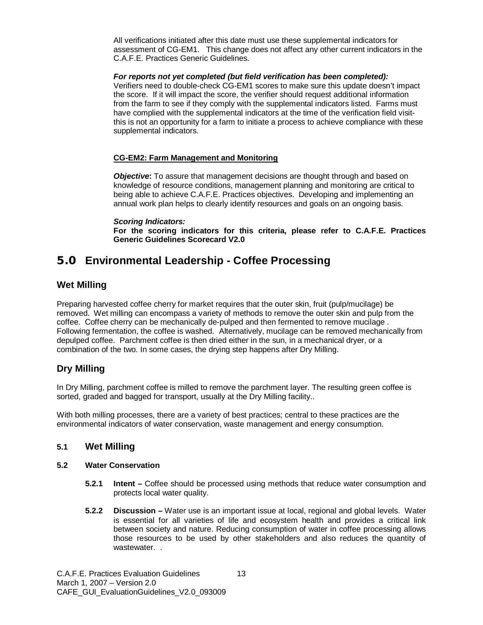All verifications initiated after this date must use these supplemental indicators for assessment of CG-EM1. This change does not affect any other current indicators in the C.A.F.E. Practices Generic Guidelines.

#### *For reports not yet completed (but field verification has been completed):*

Verifiers need to double-check CG-EM1 scores to make sure this update doesn't impact the score. If it will impact the score, the verifier should request additional information from the farm to see if they comply with the supplemental indicators listed. Farms must have complied with the supplemental indicators at the time of the verification field visitthis is not an opportunity for a farm to initiate a process to achieve compliance with these supplemental indicators.

# **CG-EM2: Farm Management and Monitoring**

*Objective***:** To assure that management decisions are thought through and based on knowledge of resource conditions, management planning and monitoring are critical to being able to achieve C.A.F.E. Practices objectives. Developing and implementing an annual work plan helps to clearly identify resources and goals on an ongoing basis.

#### *Scoring Indicators:*

**For the scoring indicators for this criteria, please refer to C.A.F.E. Practices Generic Guidelines Scorecard V2.0**

# **5.0 Environmental Leadership - Coffee Processing**

# **Wet Milling**

Preparing harvested coffee cherry for market requires that the outer skin, fruit (pulp/mucilage) be removed. Wet milling can encompass a variety of methods to remove the outer skin and pulp from the coffee. Coffee cherry can be mechanically de-pulped and then fermented to remove mucilage . Following fermentation, the coffee is washed. Alternatively, mucilage can be removed mechanically from depulped coffee. Parchment coffee is then dried either in the sun, in a mechanical dryer, or a combination of the two. In some cases, the drying step happens after Dry Milling.

# **Dry Milling**

In Dry Milling, parchment coffee is milled to remove the parchment layer. The resulting green coffee is sorted, graded and bagged for transport, usually at the Dry Milling facility..

With both milling processes, there are a variety of best practices; central to these practices are the environmental indicators of water conservation, waste management and energy consumption.

# **5.1 Wet Milling**

#### **5.2 Water Conservation**

- **5.2.1 Intent –** Coffee should be processed using methods that reduce water consumption and protects local water quality.
- **5.2.2 Discussion –** Water use is an important issue at local, regional and global levels. Water is essential for all varieties of life and ecosystem health and provides a critical link between society and nature. Reducing consumption of water in coffee processing allows those resources to be used by other stakeholders and also reduces the quantity of wastewater..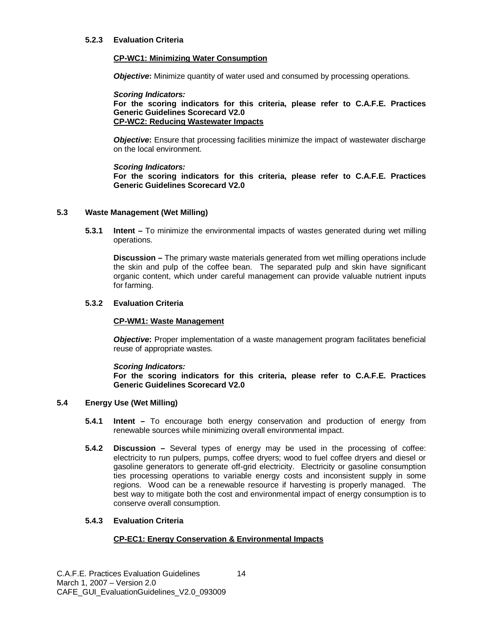#### **5.2.3 Evaluation Criteria**

#### **CP-WC1: Minimizing Water Consumption**

*Objective***:** Minimize quantity of water used and consumed by processing operations.

*Scoring Indicators:* **For the scoring indicators for this criteria, please refer to C.A.F.E. Practices Generic Guidelines Scorecard V2.0 CP-WC2: Reducing Wastewater Impacts**

**Objective:** Ensure that processing facilities minimize the impact of wastewater discharge on the local environment.

#### *Scoring Indicators:*

**For the scoring indicators for this criteria, please refer to C.A.F.E. Practices Generic Guidelines Scorecard V2.0**

#### **5.3 Waste Management (Wet Milling)**

**5.3.1 Intent –** To minimize the environmental impacts of wastes generated during wet milling operations.

**Discussion –** The primary waste materials generated from wet milling operations include the skin and pulp of the coffee bean. The separated pulp and skin have significant organic content, which under careful management can provide valuable nutrient inputs for farming.

#### **5.3.2 Evaluation Criteria**

# **CP-WM1: Waste Management**

*Objective***:** Proper implementation of a waste management program facilitates beneficial reuse of appropriate wastes.

#### *Scoring Indicators:*

**For the scoring indicators for this criteria, please refer to C.A.F.E. Practices Generic Guidelines Scorecard V2.0**

#### **5.4 Energy Use (Wet Milling)**

- **5.4.1 Intent –** To encourage both energy conservation and production of energy from renewable sources while minimizing overall environmental impact.
- **5.4.2 Discussion –** Several types of energy may be used in the processing of coffee: electricity to run pulpers, pumps, coffee dryers; wood to fuel coffee dryers and diesel or gasoline generators to generate off-grid electricity. Electricity or gasoline consumption ties processing operations to variable energy costs and inconsistent supply in some regions. Wood can be a renewable resource if harvesting is properly managed. The best way to mitigate both the cost and environmental impact of energy consumption is to conserve overall consumption.

#### **5.4.3 Evaluation Criteria**

# **CP-EC1: Energy Conservation & Environmental Impacts**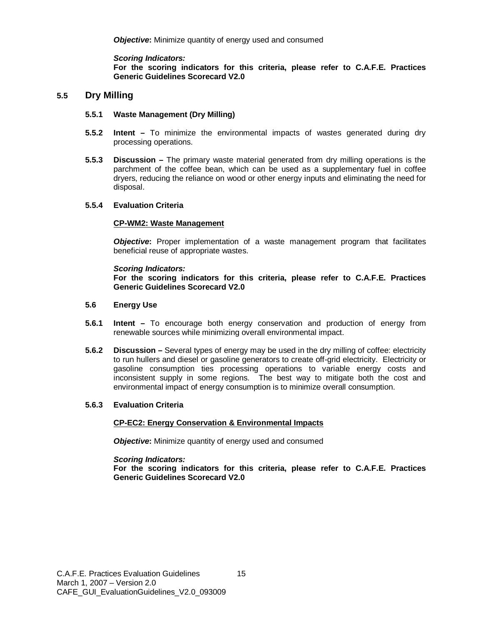*Scoring Indicators:* **For the scoring indicators for this criteria, please refer to C.A.F.E. Practices Generic Guidelines Scorecard V2.0**

# **5.5 Dry Milling**

#### **5.5.1 Waste Management (Dry Milling)**

- **5.5.2 Intent –** To minimize the environmental impacts of wastes generated during dry processing operations.
- **5.5.3 Discussion –** The primary waste material generated from dry milling operations is the parchment of the coffee bean, which can be used as a supplementary fuel in coffee dryers, reducing the reliance on wood or other energy inputs and eliminating the need for disposal.

#### **5.5.4 Evaluation Criteria**

#### **CP-WM2: Waste Management**

*Objective***:** Proper implementation of a waste management program that facilitates beneficial reuse of appropriate wastes.

#### *Scoring Indicators:*

**For the scoring indicators for this criteria, please refer to C.A.F.E. Practices Generic Guidelines Scorecard V2.0**

#### **5.6 Energy Use**

- **5.6.1 Intent –** To encourage both energy conservation and production of energy from renewable sources while minimizing overall environmental impact.
- **5.6.2 Discussion –** Several types of energy may be used in the dry milling of coffee: electricity to run hullers and diesel or gasoline generators to create off-grid electricity. Electricity or gasoline consumption ties processing operations to variable energy costs and inconsistent supply in some regions. The best way to mitigate both the cost and environmental impact of energy consumption is to minimize overall consumption.

# **5.6.3 Evaluation Criteria**

#### **CP-EC2: Energy Conservation & Environmental Impacts**

*Objective:* Minimize quantity of energy used and consumed

*Scoring Indicators:*

**For the scoring indicators for this criteria, please refer to C.A.F.E. Practices Generic Guidelines Scorecard V2.0**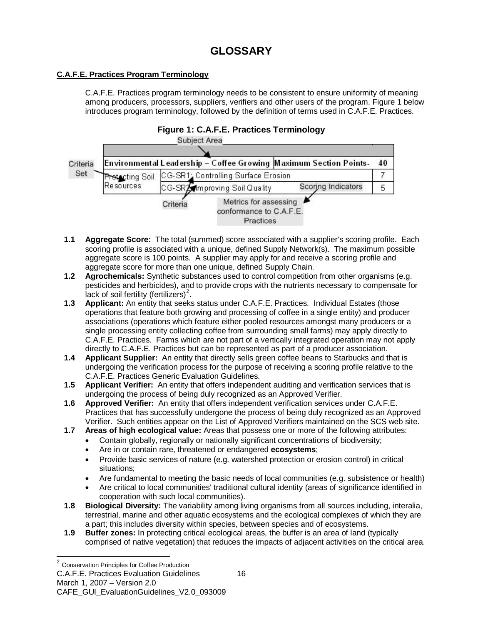# **C.A.F.E. Practices Program Terminology**

C.A.F.E. Practices program terminology needs to be consistent to ensure uniformity of meaning among producers, processors, suppliers, verifiers and other users of the program. Figure 1 below introduces program terminology, followed by the definition of terms used in C.A.F.E. Practices.



- **1.1 Aggregate Score:** The total (summed) score associated with a supplier's scoring profile. Each scoring profile is associated with a unique, defined Supply Network(s). The maximum possible aggregate score is 100 points. A supplier may apply for and receive a scoring profile and aggregate score for more than one unique, defined Supply Chain.
- **1.2 Agrochemicals:** Synthetic substances used to control competition from other organisms (e.g. pesticides and herbicides), and to provide crops with the nutrients necessary to compensate for lack of soil fertility (fertilizers)<sup>[2](#page-15-0)</sup>.
- **1.3 Applicant:** An entity that seeks status under C.A.F.E. Practices. Individual Estates (those operations that feature both growing and processing of coffee in a single entity) and producer associations (operations which feature either pooled resources amongst many producers or a single processing entity collecting coffee from surrounding small farms) may apply directly to C.A.F.E. Practices. Farms which are not part of a vertically integrated operation may not apply directly to C.A.F.E. Practices but can be represented as part of a producer association.
- **1.4 Applicant Supplier:** An entity that directly sells green coffee beans to Starbucks and that is undergoing the verification process for the purpose of receiving a scoring profile relative to the C.A.F.E. Practices Generic Evaluation Guidelines.
- **1.5 Applicant Verifier:** An entity that offers independent auditing and verification services that is undergoing the process of being duly recognized as an Approved Verifier.
- **1.6 Approved Verifier:** An entity that offers independent verification services under C.A.F.E. Practices that has successfully undergone the process of being duly recognized as an Approved Verifier. Such entities appear on the List of Approved Verifiers maintained on the SCS web site.
- **1.7 Areas of high ecological value:** Areas that possess one or more of the following attributes:
	- Contain globally, regionally or nationally significant concentrations of biodiversity;
		- Are in or contain rare, threatened or endangered **ecosystems**;
	- Provide basic services of nature (e.g. watershed protection or erosion control) in critical situations;
	- Are fundamental to meeting the basic needs of local communities (e.g. subsistence or health)
	- Are critical to local communities' traditional cultural identity (areas of significance identified in cooperation with such local communities).
- **1.8 Biological Diversity:** The variability among living organisms from all sources including, interalia, terrestrial, marine and other aquatic ecosystems and the ecological complexes of which they are a part; this includes diversity within species, between species and of ecosystems.
- **1.9 Buffer zones:** In protecting critical ecological areas, the buffer is an area of land (typically comprised of native vegetation) that reduces the impacts of adjacent activities on the critical area.

<span id="page-15-0"></span>C.A.F.E. Practices Evaluation Guidelines 2 Conservation Principles for Coffee Production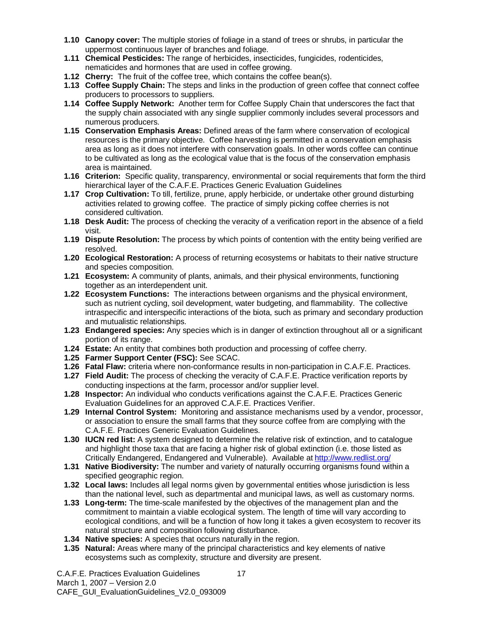- **1.10 Canopy cover:** The multiple stories of foliage in a stand of trees or shrubs, in particular the uppermost continuous layer of branches and foliage.
- **1.11 Chemical Pesticides:** The range of herbicides, insecticides, fungicides, rodenticides, nematicides and hormones that are used in coffee growing.
- **1.12 Cherry:** The fruit of the coffee tree, which contains the coffee bean(s).
- **1.13 Coffee Supply Chain:** The steps and links in the production of green coffee that connect coffee producers to processors to suppliers.
- **1.14 Coffee Supply Network:** Another term for Coffee Supply Chain that underscores the fact that the supply chain associated with any single supplier commonly includes several processors and numerous producers.
- **1.15 Conservation Emphasis Areas:** Defined areas of the farm where conservation of ecological resources is the primary objective. Coffee harvesting is permitted in a conservation emphasis area as long as it does not interfere with conservation goals. In other words coffee can continue to be cultivated as long as the ecological value that is the focus of the conservation emphasis area is maintained.
- **1.16 Criterion:** Specific quality, transparency, environmental or social requirements that form the third hierarchical layer of the C.A.F.E. Practices Generic Evaluation Guidelines
- **1.17 Crop Cultivation:** To till, fertilize, prune, apply herbicide, or undertake other ground disturbing activities related to growing coffee. The practice of simply picking coffee cherries is not considered cultivation.
- **1.18 Desk Audit:** The process of checking the veracity of a verification report in the absence of a field visit.
- **1.19 Dispute Resolution:** The process by which points of contention with the entity being verified are resolved.
- **1.20 Ecological Restoration:** A process of returning ecosystems or habitats to their native structure and species composition.
- **1.21 Ecosystem:** A community of plants, animals, and their physical environments, functioning together as an interdependent unit.
- **1.22 Ecosystem Functions:** The interactions between organisms and the physical environment, such as nutrient cycling, soil development, water budgeting, and flammability. The collective intraspecific and interspecific interactions of the biota, such as primary and secondary production and mutualistic relationships.
- **1.23 Endangered species:** Any species which is in danger of extinction throughout all or a significant portion of its range.
- **1.24 Estate:** An entity that combines both production and processing of coffee cherry.
- **1.25 Farmer Support Center (FSC):** See SCAC.
- **1.26 Fatal Flaw:** criteria where non-conformance results in non-participation in C.A.F.E. Practices.
- **1.27 Field Audit:** The process of checking the veracity of C.A.F.E. Practice verification reports by conducting inspections at the farm, processor and/or supplier level.
- **1.28 Inspector:** An individual who conducts verifications against the C.A.F.E. Practices Generic Evaluation Guidelines for an approved C.A.F.E. Practices Verifier.
- **1.29 Internal Control System:** Monitoring and assistance mechanisms used by a vendor, processor, or association to ensure the small farms that they source coffee from are complying with the C.A.F.E. Practices Generic Evaluation Guidelines.
- **1.30 IUCN red list:** A system designed to determine the relative risk of extinction, and to catalogue and highlight those taxa that are facing a higher risk of global extinction (i.e. those listed as Critically Endangered, Endangered and Vulnerable). Available at<http://www.redlist.org/>
- **1.31 Native Biodiversity:** The number and variety of naturally occurring organisms found within a specified geographic region.
- **1.32 Local laws:** Includes all legal norms given by governmental entities whose jurisdiction is less than the national level, such as departmental and municipal laws, as well as customary norms.
- **1.33 Long-term:** The time-scale manifested by the objectives of the management plan and the commitment to maintain a viable ecological system. The length of time will vary according to ecological conditions, and will be a function of how long it takes a given ecosystem to recover its natural structure and composition following disturbance.
- **1.34 Native species:** A species that occurs naturally in the region.
- **1.35 Natural:** Areas where many of the principal characteristics and key elements of native ecosystems such as complexity, structure and diversity are present.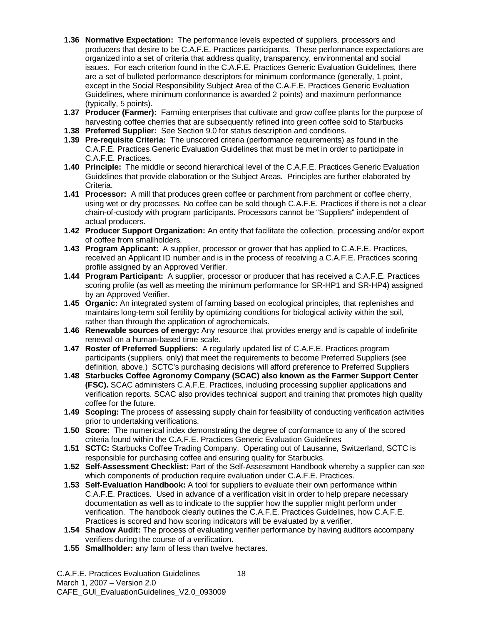- **1.36 Normative Expectation:** The performance levels expected of suppliers, processors and producers that desire to be C.A.F.E. Practices participants. These performance expectations are organized into a set of criteria that address quality, transparency, environmental and social issues. For each criterion found in the C.A.F.E. Practices Generic Evaluation Guidelines, there are a set of bulleted performance descriptors for minimum conformance (generally, 1 point, except in the Social Responsibility Subject Area of the C.A.F.E. Practices Generic Evaluation Guidelines, where minimum conformance is awarded 2 points) and maximum performance (typically, 5 points).
- **1.37 Producer (Farmer):** Farming enterprises that cultivate and grow coffee plants for the purpose of harvesting coffee cherries that are subsequently refined into green coffee sold to Starbucks
- **1.38 Preferred Supplier:** See Section 9.0 for status description and conditions.
- **1.39 Pre-requisite Criteria:** The unscored criteria (performance requirements) as found in the C.A.F.E. Practices Generic Evaluation Guidelines that must be met in order to participate in C.A.F.E. Practices.
- **1.40 Principle:** The middle or second hierarchical level of the C.A.F.E. Practices Generic Evaluation Guidelines that provide elaboration or the Subject Areas. Principles are further elaborated by Criteria.
- **1.41 Processor:** A mill that produces green coffee or parchment from parchment or coffee cherry, using wet or dry processes. No coffee can be sold though C.A.F.E. Practices if there is not a clear chain-of-custody with program participants. Processors cannot be "Suppliers" independent of actual producers.
- **1.42 Producer Support Organization:** An entity that facilitate the collection, processing and/or export of coffee from smallholders.
- **1.43 Program Applicant:** A supplier, processor or grower that has applied to C.A.F.E. Practices, received an Applicant ID number and is in the process of receiving a C.A.F.E. Practices scoring profile assigned by an Approved Verifier.
- **1.44 Program Participant:** A supplier, processor or producer that has received a C.A.F.E. Practices scoring profile (as well as meeting the minimum performance for SR-HP1 and SR-HP4) assigned by an Approved Verifier.
- **1.45 Organic:** An integrated system of farming based on ecological principles, that replenishes and maintains long-term soil fertility by optimizing conditions for biological activity within the soil, rather than through the application of agrochemicals.
- **1.46 Renewable sources of energy:** Any resource that provides energy and is capable of indefinite renewal on a human-based time scale.
- **1.47 Roster of Preferred Suppliers:** A regularly updated list of C.A.F.E. Practices program participants (suppliers, only) that meet the requirements to become Preferred Suppliers (see definition, above.) SCTC's purchasing decisions will afford preference to Preferred Suppliers
- **1.48 Starbucks Coffee Agronomy Company (SCAC) also known as the Farmer Support Center (FSC).** SCAC administers C.A.F.E. Practices, including processing supplier applications and verification reports. SCAC also provides technical support and training that promotes high quality coffee for the future.
- **1.49 Scoping:** The process of assessing supply chain for feasibility of conducting verification activities prior to undertaking verifications.
- **1.50 Score:** The numerical index demonstrating the degree of conformance to any of the scored criteria found within the C.A.F.E. Practices Generic Evaluation Guidelines
- **1.51 SCTC:** Starbucks Coffee Trading Company. Operating out of Lausanne, Switzerland, SCTC is responsible for purchasing coffee and ensuring quality for Starbucks.
- **1.52 Self-Assessment Checklist:** Part of the Self-Assessment Handbook whereby a supplier can see which components of production require evaluation under C.A.F.E. Practices.
- **1.53 Self-Evaluation Handbook:** A tool for suppliers to evaluate their own performance within C.A.F.E. Practices. Used in advance of a verification visit in order to help prepare necessary documentation as well as to indicate to the supplier how the supplier might perform under verification. The handbook clearly outlines the C.A.F.E. Practices Guidelines, how C.A.F.E. Practices is scored and how scoring indicators will be evaluated by a verifier.
- **1.54 Shadow Audit:** The process of evaluating verifier performance by having auditors accompany verifiers during the course of a verification.
- **1.55 Smallholder:** any farm of less than twelve hectares.